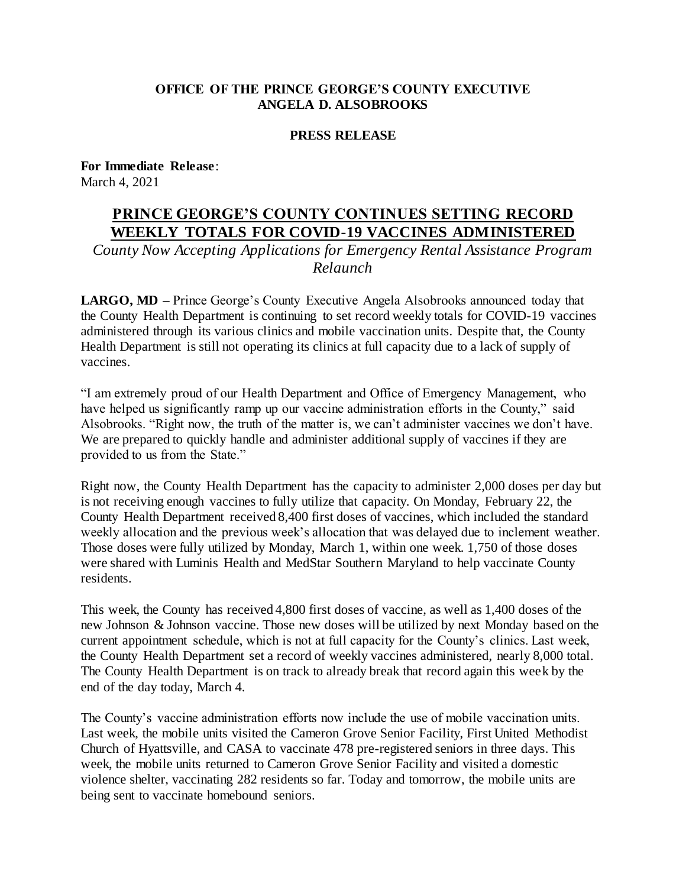## **OFFICE OF THE PRINCE GEORGE'S COUNTY EXECUTIVE ANGELA D. ALSOBROOKS**

## **PRESS RELEASE**

**For Immediate Release**: March 4, 2021

## **PRINCE GEORGE'S COUNTY CONTINUES SETTING RECORD WEEKLY TOTALS FOR COVID-19 VACCINES ADMINISTERED**

*County Now Accepting Applications for Emergency Rental Assistance Program Relaunch*

**LARGO, MD –** Prince George's County Executive Angela Alsobrooks announced today that the County Health Department is continuing to set record weekly totals for COVID-19 vaccines administered through its various clinics and mobile vaccination units. Despite that, the County Health Department is still not operating its clinics at full capacity due to a lack of supply of vaccines.

"I am extremely proud of our Health Department and Office of Emergency Management, who have helped us significantly ramp up our vaccine administration efforts in the County," said Alsobrooks. "Right now, the truth of the matter is, we can't administer vaccines we don't have. We are prepared to quickly handle and administer additional supply of vaccines if they are provided to us from the State."

Right now, the County Health Department has the capacity to administer 2,000 doses per day but is not receiving enough vaccines to fully utilize that capacity. On Monday, February 22, the County Health Department received 8,400 first doses of vaccines, which included the standard weekly allocation and the previous week's allocation that was delayed due to inclement weather. Those doses were fully utilized by Monday, March 1, within one week. 1,750 of those doses were shared with Luminis Health and MedStar Southern Maryland to help vaccinate County residents.

This week, the County has received 4,800 first doses of vaccine, as well as 1,400 doses of the new Johnson & Johnson vaccine. Those new doses will be utilized by next Monday based on the current appointment schedule, which is not at full capacity for the County's clinics. Last week, the County Health Department set a record of weekly vaccines administered, nearly 8,000 total. The County Health Department is on track to already break that record again this week by the end of the day today, March 4.

The County's vaccine administration efforts now include the use of mobile vaccination units. Last week, the mobile units visited the Cameron Grove Senior Facility, First United Methodist Church of Hyattsville, and CASA to vaccinate 478 pre-registered seniors in three days. This week, the mobile units returned to Cameron Grove Senior Facility and visited a domestic violence shelter, vaccinating 282 residents so far. Today and tomorrow, the mobile units are being sent to vaccinate homebound seniors.